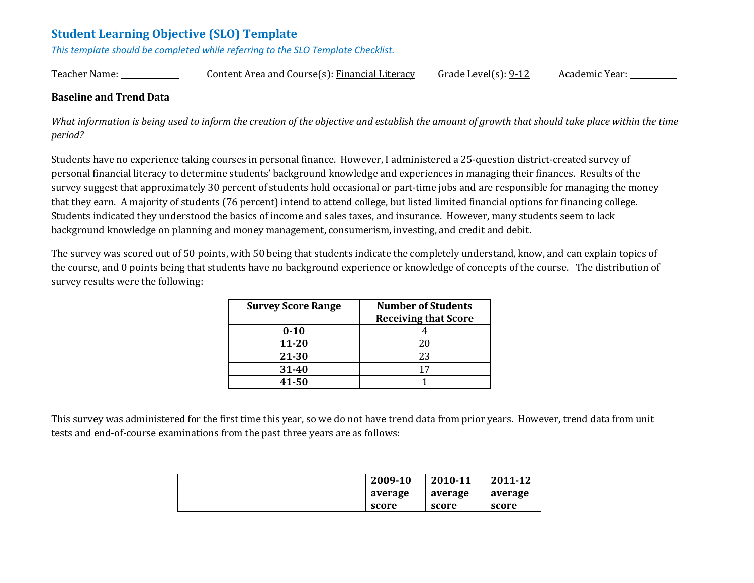# **Student Learning Objective (SLO) Template**

*This template should be completed while referring to the SLO Template Checklist.*

Teacher Name: \_\_\_\_\_\_\_\_\_\_\_\_\_\_\_ Content Area and Course(s): Financial Literacy Grade Level(s): 9-12 Academic Year: \_\_\_\_\_\_\_\_\_\_\_\_

#### **Baseline and Trend Data**

What information is being used to inform the creation of the objective and establish the amount of growth that should take place within the time *period?* 

Students have no experience taking courses in personal finance. However, I administered a 25-question district-created survey of personal financial literacy to determine students' background knowledge and experiences in managing their finances. Results of the survey suggest that approximately 30 percent of students hold occasional or part-time jobs and are responsible for managing the money that they earn. A majority of students (76 percent) intend to attend college, but listed limited financial options for financing college. Students indicated they understood the basics of income and sales taxes, and insurance. However, many students seem to lack background knowledge on planning and money management, consumerism, investing, and credit and debit.

The survey was scored out of 50 points, with 50 being that students indicate the completely understand, know, and can explain topics of the course, and 0 points being that students have no background experience or knowledge of concepts of the course. The distribution of survey results were the following:

| <b>Survey Score Range</b> | <b>Number of Students</b><br><b>Receiving that Score</b> |
|---------------------------|----------------------------------------------------------|
| $0 - 10$                  |                                                          |
| 11-20                     | 20                                                       |
| 21-30                     | 23                                                       |
| 31-40                     | 17                                                       |
| 41-50                     |                                                          |

This survey was administered for the first time this year, so we do not have trend data from prior years. However, trend data from unit tests and end-of-course examinations from the past three years are as follows:

|  | 2009-10 | 2010-11 | 2011-12 |
|--|---------|---------|---------|
|  | average | average | average |
|  | score   | score   | score   |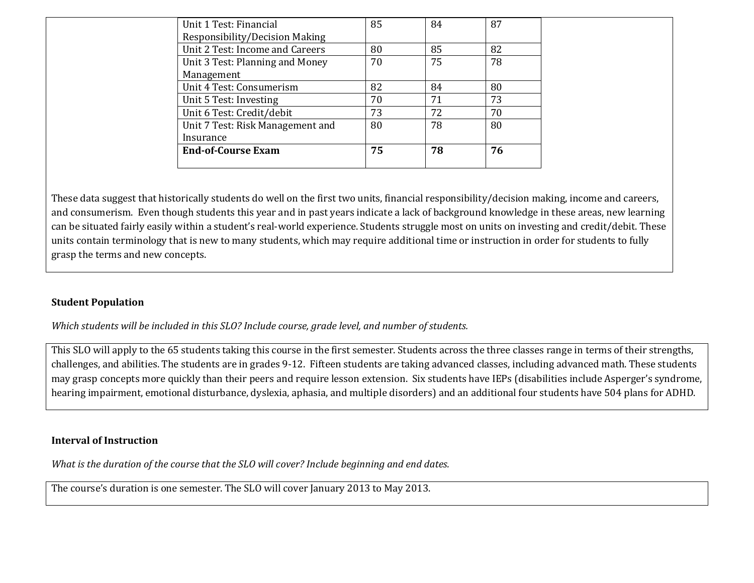| Unit 1 Test: Financial           | 85 | 84 | 87 |  |
|----------------------------------|----|----|----|--|
| Responsibility/Decision Making   |    |    |    |  |
| Unit 2 Test: Income and Careers  | 80 | 85 | 82 |  |
| Unit 3 Test: Planning and Money  | 70 | 75 | 78 |  |
| Management                       |    |    |    |  |
| Unit 4 Test: Consumerism         | 82 | 84 | 80 |  |
| Unit 5 Test: Investing           | 70 | 71 | 73 |  |
| Unit 6 Test: Credit/debit        | 73 | 72 | 70 |  |
| Unit 7 Test: Risk Management and | 80 | 78 | 80 |  |
| Insurance                        |    |    |    |  |
| <b>End-of-Course Exam</b>        | 75 | 78 | 76 |  |
|                                  |    |    |    |  |

These data suggest that historically students do well on the first two units, financial responsibility/decision making, income and careers, and consumerism. Even though students this year and in past years indicate a lack of background knowledge in these areas, new learning can be situated fairly easily within a student's real-world experience. Students struggle most on units on investing and credit/debit. These units contain terminology that is new to many students, which may require additional time or instruction in order for students to fully grasp the terms and new concepts.

#### **Student Population**

*Which students will be included in this SLO? Include course, grade level, and number of students.*

This SLO will apply to the 65 students taking this course in the first semester. Students across the three classes range in terms of their strengths, challenges, and abilities. The students are in grades 9-12. Fifteen students are taking advanced classes, including advanced math. These students may grasp concepts more quickly than their peers and require lesson extension. Six students have IEPs (disabilities include Asperger's syndrome, hearing impairment, emotional disturbance, dyslexia, aphasia, and multiple disorders) and an additional four students have 504 plans for ADHD.

#### **Interval of Instruction**

*What is the duration of the course that the SLO will cover? Include beginning and end dates.*

The course's duration is one semester. The SLO will cover January 2013 to May 2013.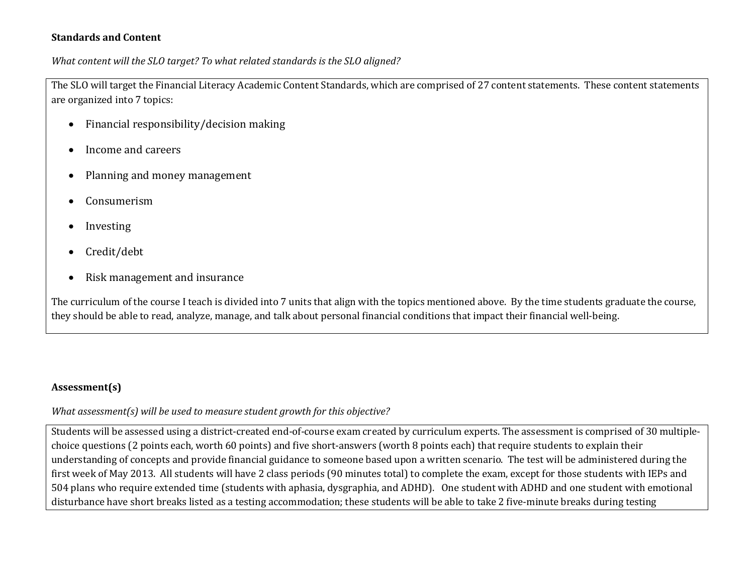#### **Standards and Content**

*What content will the SLO target? To what related standards is the SLO aligned?* 

The SLO will target the Financial Literacy Academic Content Standards, which are comprised of 27 content statements. These content statements are organized into 7 topics:

- Financial responsibility/decision making
- Income and careers
- Planning and money management
- Consumerism
- Investing
- Credit/debt
- Risk management and insurance

The curriculum of the course I teach is divided into 7 units that align with the topics mentioned above. By the time students graduate the course, they should be able to read, analyze, manage, and talk about personal financial conditions that impact their financial well-being.

## **Assessment(s)**

*What assessment(s) will be used to measure student growth for this objective?* 

Students will be assessed using a district-created end-of-course exam created by curriculum experts. The assessment is comprised of 30 multiplechoice questions (2 points each, worth 60 points) and five short-answers (worth 8 points each) that require students to explain their understanding of concepts and provide financial guidance to someone based upon a written scenario. The test will be administered during the first week of May 2013. All students will have 2 class periods (90 minutes total) to complete the exam, except for those students with IEPs and 504 plans who require extended time (students with aphasia, dysgraphia, and ADHD). One student with ADHD and one student with emotional disturbance have short breaks listed as a testing accommodation; these students will be able to take 2 five-minute breaks during testing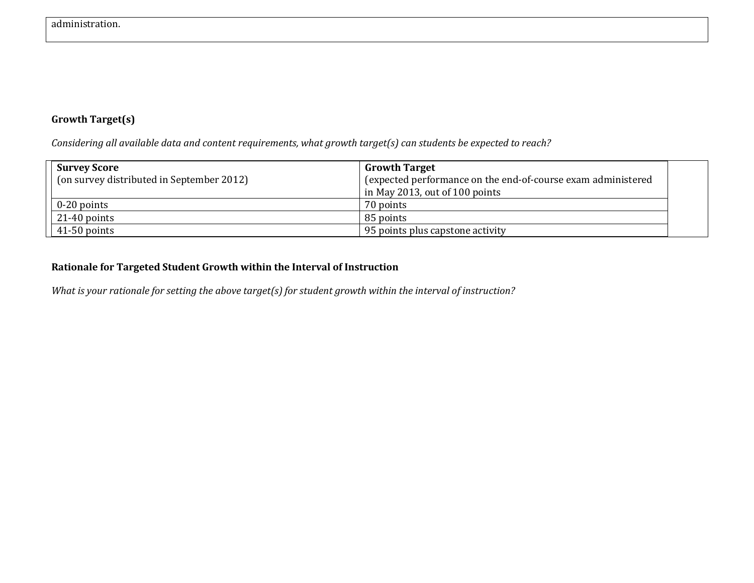## **Growth Target(s)**

*Considering all available data and content requirements, what growth target(s) can students be expected to reach?* 

| <b>Survey Score</b><br>(on survey distributed in September 2012) | <b>Growth Target</b><br>(expected performance on the end-of-course exam administered<br>$\ln$ May 2013, out of 100 points |  |
|------------------------------------------------------------------|---------------------------------------------------------------------------------------------------------------------------|--|
| $0-20$ points                                                    | 70 points                                                                                                                 |  |
| $21-40$ points                                                   | 85 points                                                                                                                 |  |
| 41-50 points                                                     | 95 points plus capstone activity                                                                                          |  |

### **Rationale for Targeted Student Growth within the Interval of Instruction**

*What is your rationale for setting the above target(s) for student growth within the interval of instruction?*